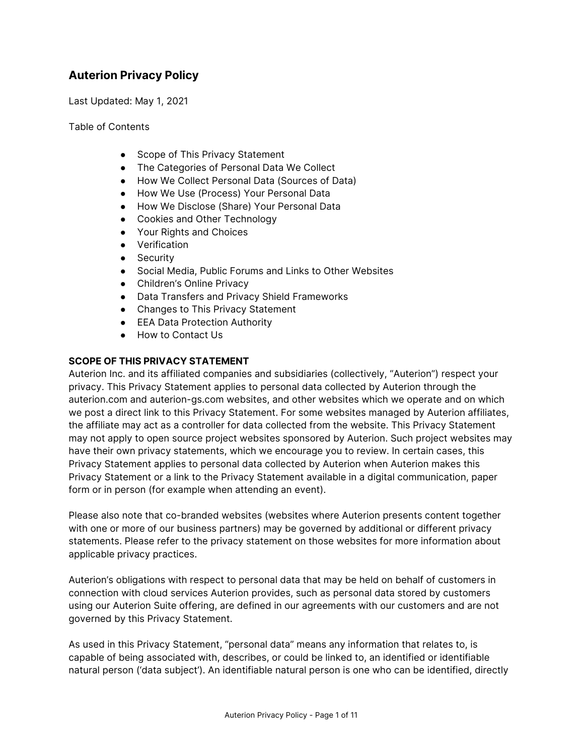# **Auterion Privacy Policy**

Last Updated: May 1, 2021

Table of Contents

- Scope of This Privacy Statement
- The Categories of Personal Data We Collect
- How We Collect Personal Data (Sources of Data)
- How We Use (Process) Your Personal Data
- How We Disclose (Share) Your Personal Data
- Cookies and Other Technology
- Your Rights and Choices
- Verification
- Security
- Social Media, Public Forums and Links to Other Websites
- Children's Online Privacy
- Data Transfers and Privacy Shield Frameworks
- Changes to This Privacy Statement
- EEA Data Protection Authority
- How to Contact Us

### **SCOPE OF THIS PRIVACY STATEMENT**

Auterion Inc. and its affiliated companies and subsidiaries (collectively, "Auterion") respect your privacy. This Privacy Statement applies to personal data collected by Auterion through the auterion.com and [auterion-gs.com](https://auterion-gs.com/) websites, and other websites which we operate and on which we post a direct link to this Privacy Statement. For some websites managed by Auterion affiliates, the affiliate may act as a controller for data collected from the website. This Privacy Statement may not apply to open source project websites sponsored by Auterion. Such project websites may have their own privacy statements, which we encourage you to review. In certain cases, this Privacy Statement applies to personal data collected by Auterion when Auterion makes this Privacy Statement or a link to the Privacy Statement available in a digital communication, paper form or in person (for example when attending an event).

Please also note that co-branded websites (websites where Auterion presents content together with one or more of our business partners) may be governed by additional or different privacy statements. Please refer to the privacy statement on those websites for more information about applicable privacy practices.

Auterion's obligations with respect to personal data that may be held on behalf of customers in connection with cloud services Auterion provides, such as personal data stored by customers using our Auterion Suite offering, are defined in our agreements with our customers and are not governed by this Privacy Statement.

As used in this Privacy Statement, "personal data" means any information that relates to, is capable of being associated with, describes, or could be linked to, an identified or identifiable natural person ('data subject'). An identifiable natural person is one who can be identified, directly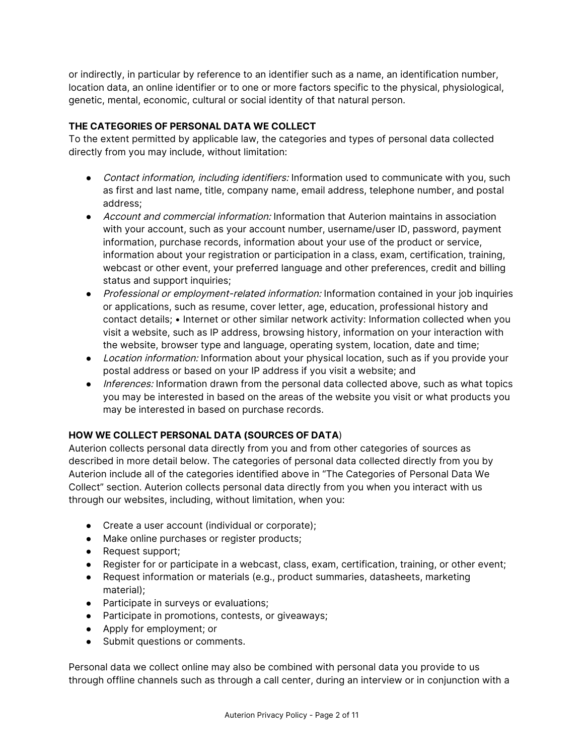or indirectly, in particular by reference to an identifier such as a name, an identification number, location data, an online identifier or to one or more factors specific to the physical, physiological, genetic, mental, economic, cultural or social identity of that natural person.

# **THE CATEGORIES OF PERSONAL DATA WE COLLECT**

To the extent permitted by applicable law, the categories and types of personal data collected directly from you may include, without limitation:

- Contact information, including identifiers: Information used to communicate with you, such as first and last name, title, company name, email address, telephone number, and postal address;
- Account and commercial information: Information that Auterion maintains in association with your account, such as your account number, username/user ID, password, payment information, purchase records, information about your use of the product or service, information about your registration or participation in a class, exam, certification, training, webcast or other event, your preferred language and other preferences, credit and billing status and support inquiries;
- Professional or employment-related information: Information contained in your job inquiries or applications, such as resume, cover letter, age, education, professional history and contact details; • Internet or other similar network activity: Information collected when you visit a website, such as IP address, browsing history, information on your interaction with the website, browser type and language, operating system, location, date and time;
- Location information: Information about your physical location, such as if you provide your postal address or based on your IP address if you visit a website; and
- Inferences: Information drawn from the personal data collected above, such as what topics you may be interested in based on the areas of the website you visit or what products you may be interested in based on purchase records.

### **HOW WE COLLECT PERSONAL DATA (SOURCES OF DATA**)

Auterion collects personal data directly from you and from other categories of sources as described in more detail below. The categories of personal data collected directly from you by Auterion include all of the categories identified above in "The Categories of Personal Data We Collect" section. Auterion collects personal data directly from you when you interact with us through our websites, including, without limitation, when you:

- Create a user account (individual or corporate);
- Make online purchases or register products;
- Request support;
- Register for or participate in a webcast, class, exam, certification, training, or other event;
- Request information or materials (e.g., product summaries, datasheets, marketing material);
- Participate in surveys or evaluations;
- Participate in promotions, contests, or giveaways;
- Apply for employment; or
- Submit questions or comments.

Personal data we collect online may also be combined with personal data you provide to us through offline channels such as through a call center, during an interview or in conjunction with a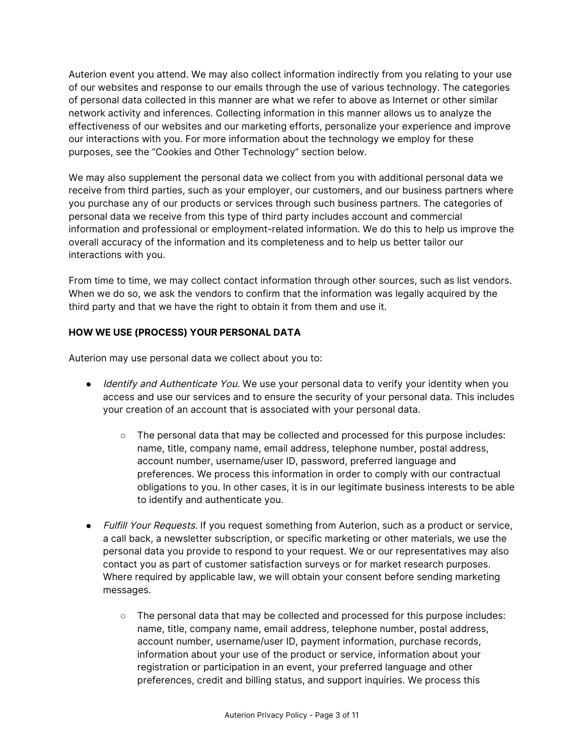Auterion event you attend. We may also collect information indirectly from you relating to your use of our websites and response to our emails through the use of various technology. The categories of personal data collected in this manner are what we refer to above as Internet or other similar network activity and inferences. Collecting information in this manner allows us to analyze the effectiveness of our websites and our marketing efforts, personalize your experience and improve our interactions with you. For more information about the technology we employ for these purposes, see the "Cookies and Other Technology" section below.

We may also supplement the personal data we collect from you with additional personal data we receive from third parties, such as your employer, our customers, and our business partners where you purchase any of our products or services through such business partners. The categories of personal data we receive from this type of third party includes account and commercial information and professional or employment-related information. We do this to help us improve the overall accuracy of the information and its completeness and to help us better tailor our interactions with you.

From time to time, we may collect contact information through other sources, such as list vendors. When we do so, we ask the vendors to confirm that the information was legally acquired by the third party and that we have the right to obtain it from them and use it.

# **HOW WE USE (PROCESS) YOUR PERSONAL DATA**

Auterion may use personal data we collect about you to:

- *Identify and Authenticate You*. We use your personal data to verify your identity when you access and use our services and to ensure the security of your personal data. This includes your creation of an account that is associated with your personal data.
	- The personal data that may be collected and processed for this purpose includes: name, title, company name, email address, telephone number, postal address, account number, username/user ID, password, preferred language and preferences. We process this information in order to comply with our contractual obligations to you. In other cases, it is in our legitimate business interests to be able to identify and authenticate you.
- Fulfill Your Requests. If you request something from Auterion, such as a product or service, a call back, a newsletter subscription, or specific marketing or other materials, we use the personal data you provide to respond to your request. We or our representatives may also contact you as part of customer satisfaction surveys or for market research purposes. Where required by applicable law, we will obtain your consent before sending marketing messages.
	- The personal data that may be collected and processed for this purpose includes: name, title, company name, email address, telephone number, postal address, account number, username/user ID, payment information, purchase records, information about your use of the product or service, information about your registration or participation in an event, your preferred language and other preferences, credit and billing status, and support inquiries. We process this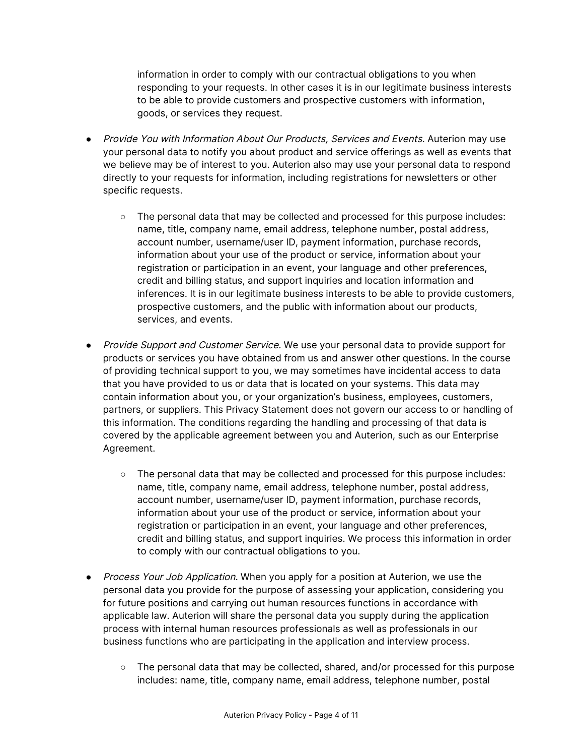information in order to comply with our contractual obligations to you when responding to your requests. In other cases it is in our legitimate business interests to be able to provide customers and prospective customers with information, goods, or services they request.

- Provide You with Information About Our Products, Services and Events. Auterion may use your personal data to notify you about product and service offerings as well as events that we believe may be of interest to you. Auterion also may use your personal data to respond directly to your requests for information, including registrations for newsletters or other specific requests.
	- The personal data that may be collected and processed for this purpose includes: name, title, company name, email address, telephone number, postal address, account number, username/user ID, payment information, purchase records, information about your use of the product or service, information about your registration or participation in an event, your language and other preferences, credit and billing status, and support inquiries and location information and inferences. It is in our legitimate business interests to be able to provide customers, prospective customers, and the public with information about our products, services, and events.
- Provide Support and Customer Service. We use your personal data to provide support for products or services you have obtained from us and answer other questions. In the course of providing technical support to you, we may sometimes have incidental access to data that you have provided to us or data that is located on your systems. This data may contain information about you, or your organization's business, employees, customers, partners, or suppliers. This Privacy Statement does not govern our access to or handling of this information. The conditions regarding the handling and processing of that data is covered by the applicable agreement between you and Auterion, such as our Enterprise Agreement.
	- The personal data that may be collected and processed for this purpose includes: name, title, company name, email address, telephone number, postal address, account number, username/user ID, payment information, purchase records, information about your use of the product or service, information about your registration or participation in an event, your language and other preferences, credit and billing status, and support inquiries. We process this information in order to comply with our contractual obligations to you.
- Process Your Job Application. When you apply for a position at Auterion, we use the personal data you provide for the purpose of assessing your application, considering you for future positions and carrying out human resources functions in accordance with applicable law. Auterion will share the personal data you supply during the application process with internal human resources professionals as well as professionals in our business functions who are participating in the application and interview process.
	- $\circ$  The personal data that may be collected, shared, and/or processed for this purpose includes: name, title, company name, email address, telephone number, postal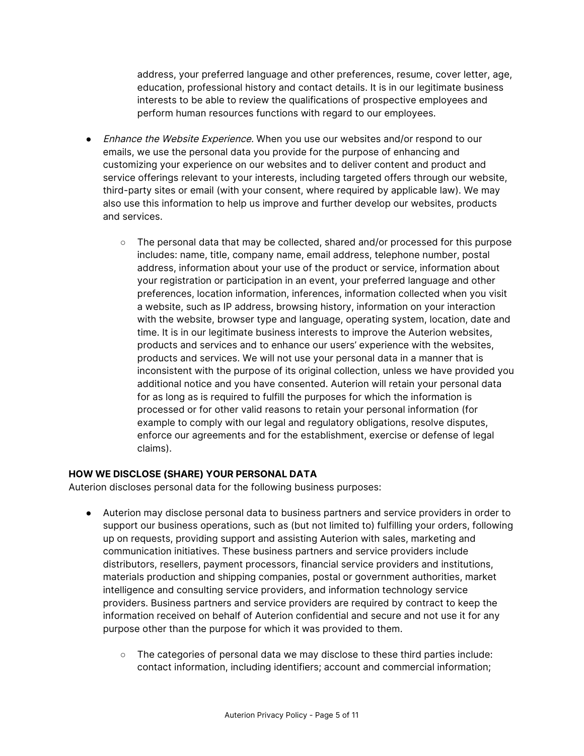address, your preferred language and other preferences, resume, cover letter, age, education, professional history and contact details. It is in our legitimate business interests to be able to review the qualifications of prospective employees and perform human resources functions with regard to our employees.

- Enhance the Website Experience. When you use our websites and/or respond to our emails, we use the personal data you provide for the purpose of enhancing and customizing your experience on our websites and to deliver content and product and service offerings relevant to your interests, including targeted offers through our website, third-party sites or email (with your consent, where required by applicable law). We may also use this information to help us improve and further develop our websites, products and services.
	- The personal data that may be collected, shared and/or processed for this purpose includes: name, title, company name, email address, telephone number, postal address, information about your use of the product or service, information about your registration or participation in an event, your preferred language and other preferences, location information, inferences, information collected when you visit a website, such as IP address, browsing history, information on your interaction with the website, browser type and language, operating system, location, date and time. It is in our legitimate business interests to improve the Auterion websites, products and services and to enhance our users' experience with the websites, products and services. We will not use your personal data in a manner that is inconsistent with the purpose of its original collection, unless we have provided you additional notice and you have consented. Auterion will retain your personal data for as long as is required to fulfill the purposes for which the information is processed or for other valid reasons to retain your personal information (for example to comply with our legal and regulatory obligations, resolve disputes, enforce our agreements and for the establishment, exercise or defense of legal claims).

### **HOW WE DISCLOSE (SHARE) YOUR PERSONAL DATA**

Auterion discloses personal data for the following business purposes:

- Auterion may disclose personal data to business partners and service providers in order to support our business operations, such as (but not limited to) fulfilling your orders, following up on requests, providing support and assisting Auterion with sales, marketing and communication initiatives. These business partners and service providers include distributors, resellers, payment processors, financial service providers and institutions, materials production and shipping companies, postal or government authorities, market intelligence and consulting service providers, and information technology service providers. Business partners and service providers are required by contract to keep the information received on behalf of Auterion confidential and secure and not use it for any purpose other than the purpose for which it was provided to them.
	- The categories of personal data we may disclose to these third parties include: contact information, including identifiers; account and commercial information;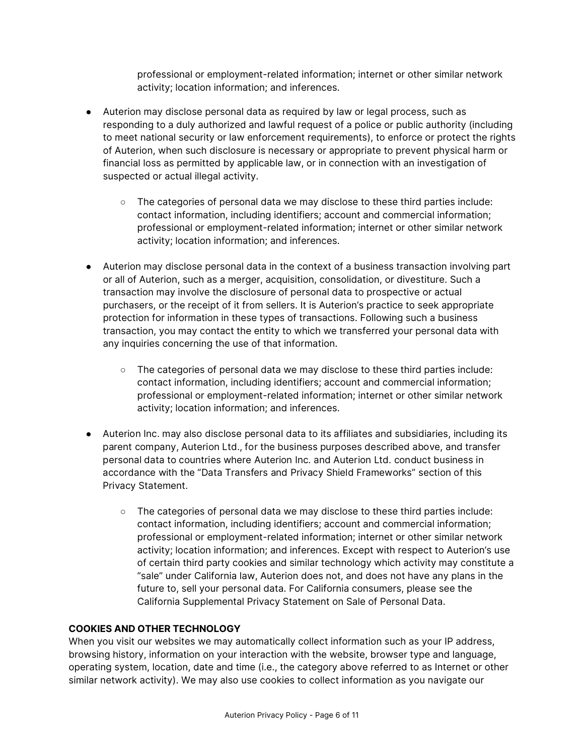professional or employment-related information; internet or other similar network activity; location information; and inferences.

- Auterion may disclose personal data as required by law or legal process, such as responding to a duly authorized and lawful request of a police or public authority (including to meet national security or law enforcement requirements), to enforce or protect the rights of Auterion, when such disclosure is necessary or appropriate to prevent physical harm or financial loss as permitted by applicable law, or in connection with an investigation of suspected or actual illegal activity.
	- The categories of personal data we may disclose to these third parties include: contact information, including identifiers; account and commercial information; professional or employment-related information; internet or other similar network activity; location information; and inferences.
- Auterion may disclose personal data in the context of a business transaction involving part or all of Auterion, such as a merger, acquisition, consolidation, or divestiture. Such a transaction may involve the disclosure of personal data to prospective or actual purchasers, or the receipt of it from sellers. It is Auterion's practice to seek appropriate protection for information in these types of transactions. Following such a business transaction, you may contact the entity to which we transferred your personal data with any inquiries concerning the use of that information.
	- The categories of personal data we may disclose to these third parties include: contact information, including identifiers; account and commercial information; professional or employment-related information; internet or other similar network activity; location information; and inferences.
- Auterion Inc. may also disclose personal data to its affiliates and subsidiaries, including its parent company, Auterion Ltd., for the business purposes described above, and transfer personal data to countries where Aute
	- The categories of personal data we may disclose to these third parties include: contact information, including identifiers; account and commercial information; professional or employment-related information; internet or other similar network activity; location information; and inferences. Except with respect to Auterion's use of certain third party cookies and similar technology which activity may constitute a "sale" under California law, Auterion does not, and does not have any plans in the future to, sell your personal data. For California consumers, please see the California Supplemental Privacy Statement on Sale of Personal Data.

### **COOKIES AND OTHER TECHNOLOGY**

When you visit our websites we may automatically collect information such as your IP address, browsing history, information on your interaction with the website, browser type and language, operating system, location, date and time (i.e., the category above referred to as Internet or other similar network activity). We may also use cookies to collect information as you navigate our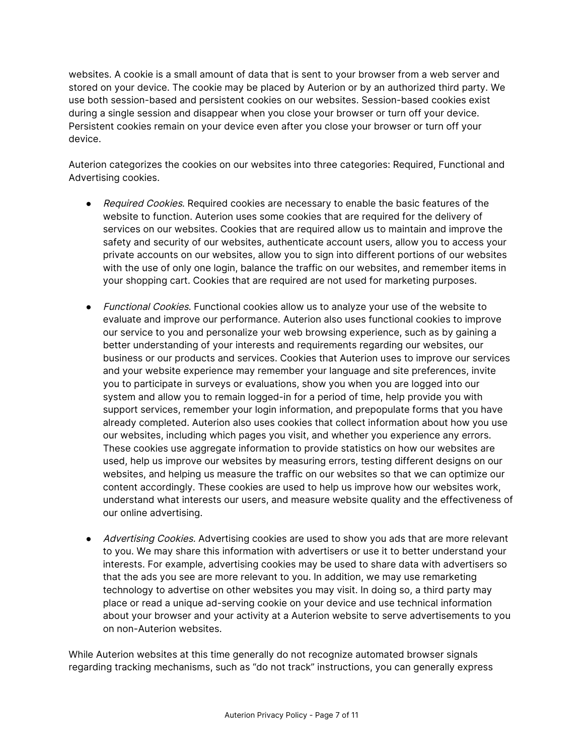websites. A cookie is a small amount of data that is sent to your browser from a web server and stored on your device. The cookie may be placed by Auterion or by an authorized third party. We use both session-based and persistent cookies on our websites. Session-based cookies exist during a single session and disappear when you close your browser or turn off your device. Persistent cookies remain on your device even after you close your browser or turn off your device.

Auterion categorizes the cookies on our websites into three categories: Required, Functional and Advertising cookies.

- Required Cookies. Required cookies are necessary to enable the basic features of the website to function. Auterion uses some cookies that are required for the delivery of services on our websites. Cookies that are required allow us to maintain and improve the safety and security of our websites, authenticate account users, allow you to access your private accounts on our websites, allow you to sign into different portions of our websites with the use of only one login, balance the traffic on our websites, and remember items in your shopping cart. Cookies that are required are not used for marketing purposes.
- *Functional Cookies*. Functional cookies allow us to analyze your use of the website to evaluate and improve our performance. Auterion also uses functional cookies to improve our service to you and personalize your web browsing experience, such as by gaining a better understanding of your interests and requirements regarding our websites, our business or our products and services. Cookies that Auterion uses to improve our services and your website experience may remember your language and site preferences, invite you to participate in surveys or evaluations, show you when you are logged into our system and allow you to remain logged-in for a period of time, help provide you with support services, remember your login information, and prepopulate forms that you have already completed. Auterion also uses cookies that collect information about how you use our websites, including which pages you visit, and whether you experience any errors. These cookies use aggregate information to provide statistics on how our websites are used, help us improve our websites by measuring errors, testing different designs on our websites, and helping us measure the traffic on our websites so that we can optimize our content accordingly. These cookies are used to help us improve how our websites work, understand what interests our users, and measure website quality and the effectiveness of our online advertising.
- Advertising Cookies. Advertising cookies are used to show you ads that are more relevant to you. We may share this information with advertisers or use it to better understand your interests. For example, advertising cookies may be used to share data with advertisers so that the ads you see are more relevant to you. In addition, we may use remarketing technology to advertise on other websites you may visit. In doing so, a third party may place or read a unique ad-serving cookie on your device and use technical information about your browser and your activity at a Auterion website to serve advertisements to you on non-Auterion websites.

While Auterion websites at this time generally do not recognize automated browser signals regarding tracking mechanisms, such as "do not track" instructions, you can generally express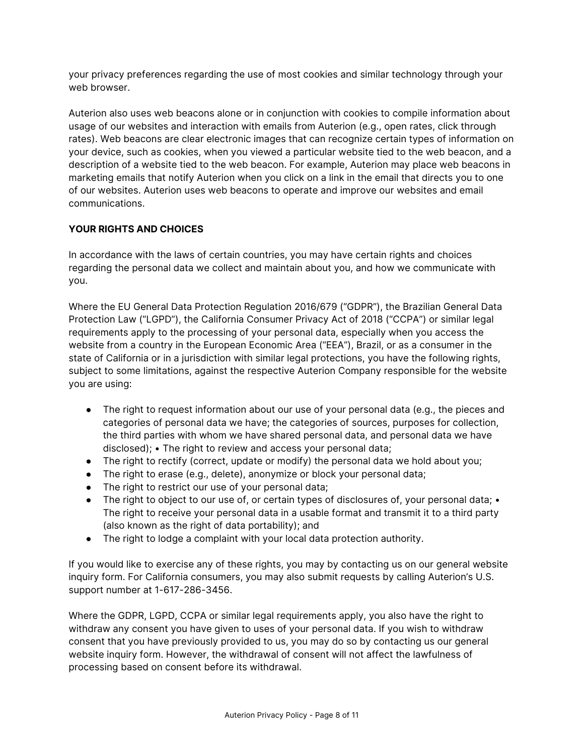your privacy preferences regarding the use of most cookies and similar technology through your web browser.

Auterion also uses web beacons alone or in conjunction with cookies to compile information about usage of our websites and interaction with emails from Auterion (e.g., open rates, click through rates). Web beacons are clear electronic images that can recognize certain types of information on your device, such as cookies, when you viewed a particular website tied to the web beacon, and a description of a website tied to the web beacon. For example, Auterion may place web beacons in marketing emails that notify Auterion when you click on a link in the email that directs you to one of our websites. Auterion uses web beacons to operate and improve our websites and email communications.

# **YOUR RIGHTS AND CHOICES**

In accordance with the laws of certain countries, you may have certain rights and choices regarding the personal data we collect and maintain about you, and how we communicate with you.

Where the EU General Data Protection Regulation 2016/679 ("GDPR"), the Brazilian General Data Protection Law ("LGPD"), the California Consumer Privacy Act of 2018 ("CCPA") or similar legal requirements apply to the processing of your personal data, especially when you access the website from a country in the European Economic Area ("EEA"), Brazil, or as a consumer in the state of California or in a jurisdiction with similar legal protections, you have the following rights, subject to some limitations, against the respective Auterion Company responsible for the website you are using:

- The right to request information about our use of your personal data (e.g., the pieces and categories of personal data we have; the categories of sources, purposes for collection, the third parties with whom we have shared personal data, and personal data we have disclosed); • The right to review and access your personal data;
- The right to rectify (correct, update or modify) the personal data we hold about you;
- The right to erase (e.g., delete), anonymize or block your personal data;
- The right to restrict our use of your personal data;
- The right to object to our use of, or certain types of disclosures of, your personal data; The right to receive your personal data in a usable format and transmit it to a third party (also known as the right of data portability); and
- The right to lodge a complaint with your local data protection authority.

If you would like to exercise any of these rights, you may by contacting us on our general website inquiry form. For California consumers, you may also submit requests by calling Auterion's U.S. support number at 1-617-286-3456.

Where the GDPR, LGPD, CCPA or similar legal requirements apply, you also have the right to withdraw any consent you have given to uses of your personal data. If you wish to withdraw consent that you have previously provided to us, you may do so by contacting us our general website inquiry form. However, the withdrawal of consent will not affect the lawfulness of processing based on consent before its withdrawal.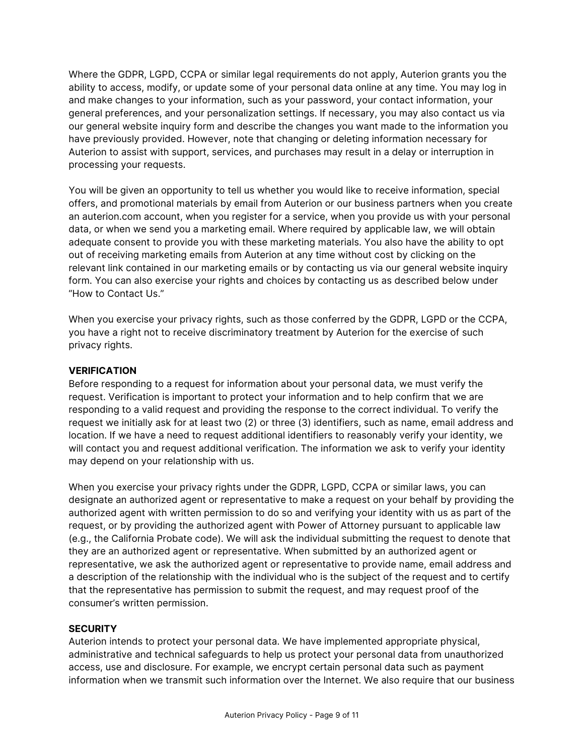Where the GDPR, LGPD, CCPA or similar legal requirements do not apply, Auterion grants you the ability to access, modify, or update some of your personal data online at any time. You may log in and make changes to your information, such as your password, your contact information, your general preferences, and your personalization settings. If necessary, you may also contact us via our general website inquiry form and describe the changes you want made to the information you have previously provided. However, note that changing or deleting information necessary for Auterion to assist with support, services, and purchases may result in a delay or interruption in processing your requests.

You will be given an opportunity to tell us whether you would like to receive information, special offers, and promotional materials by email from Auterion or our business partners when you create an auterion.com account, when you register for a service, when you provide us with your personal data, or when we send you a marketing email. Where required by applicable law, we will obtain adequate consent to provide you with these marketing materials. You also have the ability to opt out of receiving marketing emails from Auterion at any time without cost by clicking on the relevant link contained in our marketing emails or by contacting us via our general website inquiry form. You can also exercise your rights and choices by contacting us as described below under "How to Contact Us."

When you exercise your privacy rights, such as those conferred by the GDPR, LGPD or the CCPA, you have a right not to receive discriminatory treatment by Auterion for the exercise of such privacy rights.

# **VERIFICATION**

Before responding to a request for information about your personal data, we must verify the request. Verification is important to protect your information and to help confirm that we are responding to a valid request and providing the response to the correct individual. To verify the request we initially ask for at least two (2) or three (3) identifiers, such as name, email address and location. If we have a need to request additional identifiers to reasonably verify your identity, we will contact you and request additional verification. The information we ask to verify your identity may depend on your relationship with us.

When you exercise your privacy rights under the GDPR, LGPD, CCPA or similar laws, you can designate an authorized agent or representative to make a request on your behalf by providing the authorized agent with written permission to do so and verifying your identity with us as part of the request, or by providing the authorized agent with Power of Attorney pursuant to applicable law (e.g., the California Probate code). We will ask the individual submitting the request to denote that they are an authorized agent or representative. When submitted by an authorized agent or representative, we ask the authorized agent or representative to provide name, email address and a description of the relationship with the individual who is the subject of the request and to certify that the representative has permission to submit the request, and may request proof of the consumer's written permission.

### **SECURITY**

Auterion intends to protect your personal data. We have implemented appropriate physical, administrative and technical safeguards to help us protect your personal data from unauthorized access, use and disclosure. For example, we encrypt certain personal data such as payment information when we transmit such information over the Internet. We also require that our business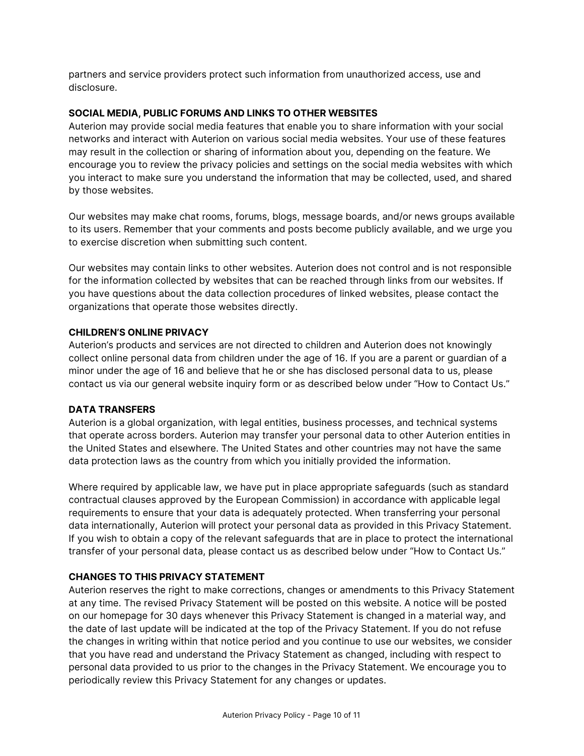partners and service providers protect such information from unauthorized access, use and disclosure.

# **SOCIAL MEDIA, PUBLIC FORUMS AND LINKS TO OTHER WEBSITES**

Auterion may provide social media features that enable you to share information with your social networks and interact with Auterion on various social media websites. Your use of these features may result in the collection or sharing of information about you, depending on the feature. We encourage you to review the privacy policies and settings on the social media websites with which you interact to make sure you understand the information that may be collected, used, and shared by those websites.

Our websites may make chat rooms, forums, blogs, message boards, and/or news groups available to its users. Remember that your comments and posts become publicly available, and we urge you to exercise discretion when submitting such content.

Our websites may contain links to other websites. Auterion does not control and is not responsible for the information collected by websites that can be reached through links from our websites. If you have questions about the data collection procedures of linked websites, please contact the organizations that operate those websites directly.

### **CHILDREN'S ONLINE PRIVACY**

Auterion's products and services are not directed to children and Auterion does not knowingly collect online personal data from children under the age of 16. If you are a parent or guardian of a minor under the age of 16 and believe that he or she has disclosed personal data to us, please contact us via our general website inquiry form or as described below under "How to Contact Us."

### **DATA TRANSFERS**

Auterion is a global organization, with legal entities, business processes, and technical systems that operate across borders. Auterion may transfer your personal data to other Auterion entities in the United States and elsewhere. The United States and other countries may not have the same data protection laws as the country from which you initially provided the information.

Where required by applicable law, we have put in place appropriate safeguards (such as standard contractual clauses approved by the European Commission) in accordance with applicable legal requirements to ensure that your data is adequately protected. When transferring your personal data internationally, Auterion will protect your personal data as provided in this Privacy Statement. If you wish to obtain a copy of the relevant safeguards that are in place to protect the international transfer of your personal data, please contact us as described below under "How to Contact Us."

# **CHANGES TO THIS PRIVACY STATEMENT**

Auterion reserves the right to make corrections, changes or amendments to this Privacy Statement at any time. The revised Privacy Statement will be posted on this website. A notice will be posted on our homepage for 30 days whenever this Privacy Statement is changed in a material way, and the date of last update will be indicated at the top of the Privacy Statement. If you do not refuse the changes in writing within that notice period and you continue to use our websites, we consider that you have read and understand the Privacy Statement as changed, including with respect to personal data provided to us prior to the changes in the Privacy Statement. We encourage you to periodically review this Privacy Statement for any changes or updates.